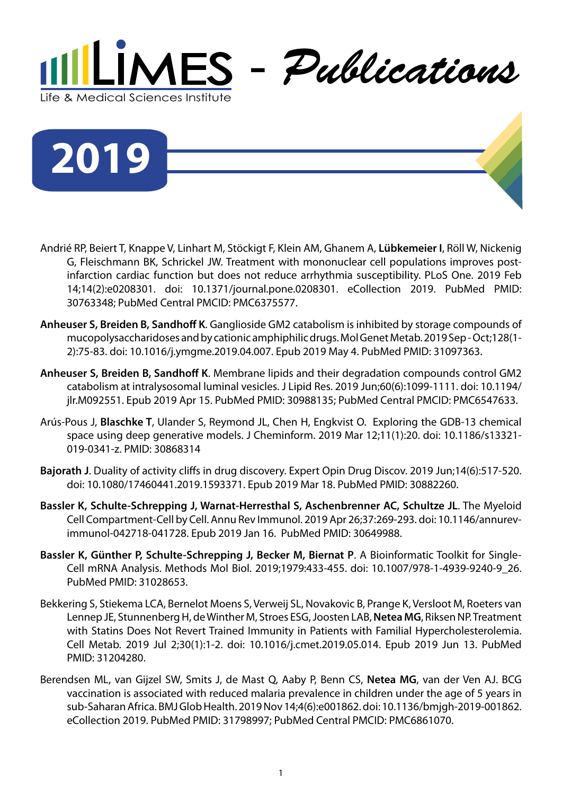

**2019**

- Andrié RP, Beiert T, Knappe V, Linhart M, Stöckigt F, Klein AM, Ghanem A, **Lübkemeier I**, Röll W, Nickenig G, Fleischmann BK, Schrickel JW. Treatment with mononuclear cell populations improves postinfarction cardiac function but does not reduce arrhythmia susceptibility. PLoS One. 2019 Feb 14;14(2):e0208301. doi: 10.1371/journal.pone.0208301. eCollection 2019. PubMed PMID: 30763348; PubMed Central PMCID: PMC6375577.
- **Anheuser S, Breiden B, Sandhoff K**. Ganglioside GM2 catabolism is inhibited by storage compounds of mucopolysaccharidoses and by cationic amphiphilic drugs. Mol Genet Metab. 2019 Sep - Oct;128(1- 2):75-83. doi: 10.1016/j.ymgme.2019.04.007. Epub 2019 May 4. PubMed PMID: 31097363.
- **Anheuser S, Breiden B, Sandhoff K**. Membrane lipids and their degradation compounds control GM2 catabolism at intralysosomal luminal vesicles. J Lipid Res. 2019 Jun;60(6):1099-1111. doi: 10.1194/ jlr.M092551. Epub 2019 Apr 15. PubMed PMID: 30988135; PubMed Central PMCID: PMC6547633.
- Arús-Pous J, **Blaschke T**, Ulander S, Reymond JL, Chen H, Engkvist O. Exploring the GDB-13 chemical space using deep generative models. J Cheminform. 2019 Mar 12;11(1):20. doi: 10.1186/s13321- 019-0341-z. PMID: 30868314
- **Bajorath J**. Duality of activity cliffs in drug discovery. Expert Opin Drug Discov. 2019 Jun;14(6):517-520. doi: 10.1080/17460441.2019.1593371. Epub 2019 Mar 18. PubMed PMID: 30882260.
- **Bassler K, Schulte-Schrepping J, Warnat-Herresthal S, Aschenbrenner AC, Schultze JL**. The Myeloid Cell Compartment-Cell by Cell. Annu Rev Immunol. 2019 Apr 26;37:269-293. doi: 10.1146/annurevimmunol-042718-041728. Epub 2019 Jan 16. PubMed PMID: 30649988.
- **Bassler K, Günther P, Schulte-Schrepping J, Becker M, Biernat P**. A Bioinformatic Toolkit for Single-Cell mRNA Analysis. Methods Mol Biol. 2019;1979:433-455. doi: 10.1007/978-1-4939-9240-9\_26. PubMed PMID: 31028653.
- Bekkering S, Stiekema LCA, Bernelot Moens S, Verweij SL, Novakovic B, Prange K, Versloot M, Roeters van Lennep JE, Stunnenberg H, de Winther M, Stroes ESG, Joosten LAB, **Netea MG**, Riksen NP. Treatment with Statins Does Not Revert Trained Immunity in Patients with Familial Hypercholesterolemia. Cell Metab. 2019 Jul 2;30(1):1-2. doi: 10.1016/j.cmet.2019.05.014. Epub 2019 Jun 13. PubMed PMID: 31204280.
- Berendsen ML, van Gijzel SW, Smits J, de Mast Q, Aaby P, Benn CS, **Netea MG**, van der Ven AJ. BCG vaccination is associated with reduced malaria prevalence in children under the age of 5 years in sub-Saharan Africa. BMJ Glob Health. 2019 Nov 14;4(6):e001862. doi: 10.1136/bmjgh-2019-001862. eCollection 2019. PubMed PMID: 31798997; PubMed Central PMCID: PMC6861070.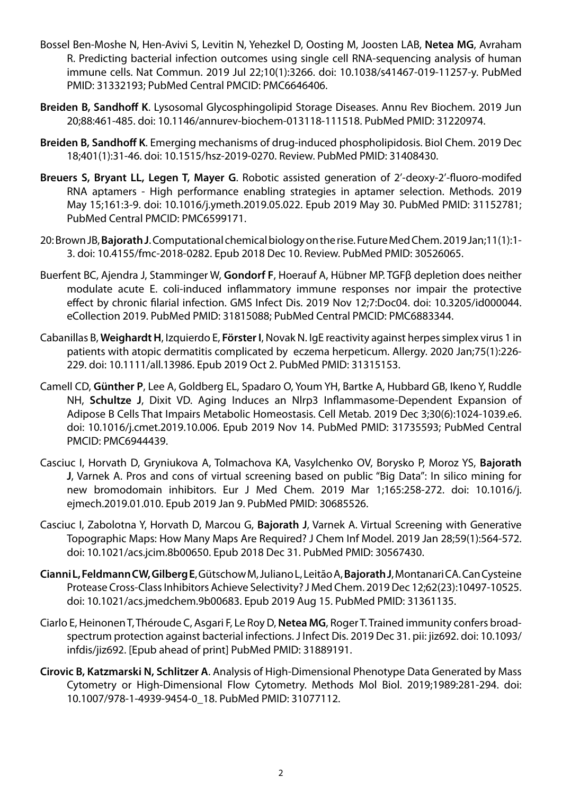- Bossel Ben-Moshe N, Hen-Avivi S, Levitin N, Yehezkel D, Oosting M, Joosten LAB, **Netea MG**, Avraham R. Predicting bacterial infection outcomes using single cell RNA-sequencing analysis of human immune cells. Nat Commun. 2019 Jul 22;10(1):3266. doi: 10.1038/s41467-019-11257-y. PubMed PMID: 31332193; PubMed Central PMCID: PMC6646406.
- **Breiden B, Sandhoff K**. Lysosomal Glycosphingolipid Storage Diseases. Annu Rev Biochem. 2019 Jun 20;88:461-485. doi: 10.1146/annurev-biochem-013118-111518. PubMed PMID: 31220974.
- **Breiden B, Sandhoff K**. Emerging mechanisms of drug-induced phospholipidosis. Biol Chem. 2019 Dec 18;401(1):31-46. doi: 10.1515/hsz-2019-0270. Review. PubMed PMID: 31408430.
- **Breuers S, Bryant LL, Legen T, Mayer G**. Robotic assisted generation of 2'-deoxy-2'-fluoro-modifed RNA aptamers - High performance enabling strategies in aptamer selection. Methods. 2019 May 15;161:3-9. doi: 10.1016/j.ymeth.2019.05.022. Epub 2019 May 30. PubMed PMID: 31152781; PubMed Central PMCID: PMC6599171.
- 20: Brown JB, **Bajorath J**. Computational chemical biology on the rise. Future Med Chem. 2019 Jan;11(1):1- 3. doi: 10.4155/fmc-2018-0282. Epub 2018 Dec 10. Review. PubMed PMID: 30526065.
- Buerfent BC, Ajendra J, Stamminger W, **Gondorf F**, Hoerauf A, Hübner MP. TGFβ depletion does neither modulate acute E. coli-induced inflammatory immune responses nor impair the protective effect by chronic filarial infection. GMS Infect Dis. 2019 Nov 12;7:Doc04. doi: 10.3205/id000044. eCollection 2019. PubMed PMID: 31815088; PubMed Central PMCID: PMC6883344.
- Cabanillas B, **Weighardt H**, Izquierdo E, **Förster I**, Novak N. IgE reactivity against herpes simplex virus 1 in patients with atopic dermatitis complicated by eczema herpeticum. Allergy. 2020 Jan;75(1):226- 229. doi: 10.1111/all.13986. Epub 2019 Oct 2. PubMed PMID: 31315153.
- Camell CD, **Günther P**, Lee A, Goldberg EL, Spadaro O, Youm YH, Bartke A, Hubbard GB, Ikeno Y, Ruddle NH, **Schultze J**, Dixit VD. Aging Induces an Nlrp3 Inflammasome-Dependent Expansion of Adipose B Cells That Impairs Metabolic Homeostasis. Cell Metab. 2019 Dec 3;30(6):1024-1039.e6. doi: 10.1016/j.cmet.2019.10.006. Epub 2019 Nov 14. PubMed PMID: 31735593; PubMed Central PMCID: PMC6944439.
- Casciuc I, Horvath D, Gryniukova A, Tolmachova KA, Vasylchenko OV, Borysko P, Moroz YS, **Bajorath J**, Varnek A. Pros and cons of virtual screening based on public "Big Data": In silico mining for new bromodomain inhibitors. Eur J Med Chem. 2019 Mar 1;165:258-272. doi: 10.1016/j. ejmech.2019.01.010. Epub 2019 Jan 9. PubMed PMID: 30685526.
- Casciuc I, Zabolotna Y, Horvath D, Marcou G, **Bajorath J**, Varnek A. Virtual Screening with Generative Topographic Maps: How Many Maps Are Required? J Chem Inf Model. 2019 Jan 28;59(1):564-572. doi: 10.1021/acs.jcim.8b00650. Epub 2018 Dec 31. PubMed PMID: 30567430.
- **Cianni L, Feldmann CW, Gilberg E**, Gütschow M, Juliano L, Leitão A, **Bajorath J**, Montanari CA. Can Cysteine Protease Cross-Class Inhibitors Achieve Selectivity? J Med Chem. 2019 Dec 12;62(23):10497-10525. doi: 10.1021/acs.jmedchem.9b00683. Epub 2019 Aug 15. PubMed PMID: 31361135.
- Ciarlo E, Heinonen T, Théroude C, Asgari F, Le Roy D, **Netea MG**, Roger T. Trained immunity confers broadspectrum protection against bacterial infections. J Infect Dis. 2019 Dec 31. pii: jiz692. doi: 10.1093/ infdis/jiz692. [Epub ahead of print] PubMed PMID: 31889191.
- **Cirovic B, Katzmarski N, Schlitzer A**. Analysis of High-Dimensional Phenotype Data Generated by Mass Cytometry or High-Dimensional Flow Cytometry. Methods Mol Biol. 2019;1989:281-294. doi: 10.1007/978-1-4939-9454-0\_18. PubMed PMID: 31077112.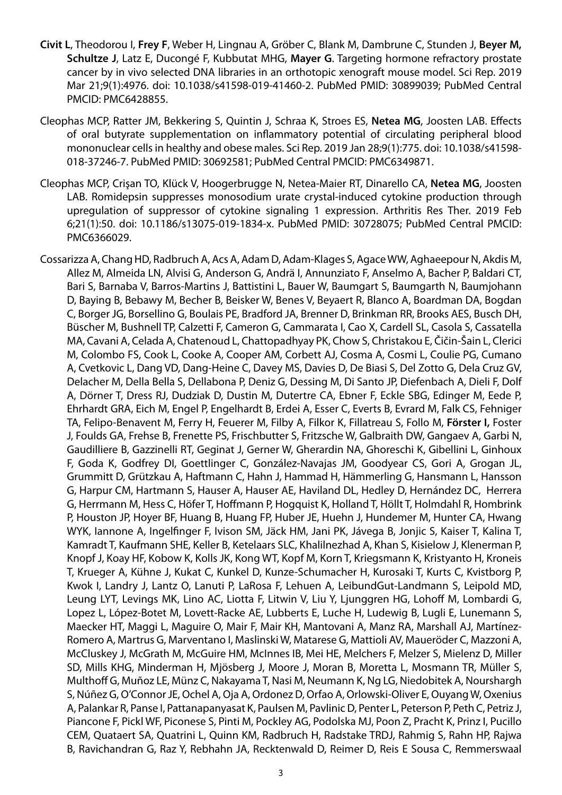- **Civit L**, Theodorou I, **Frey F**, Weber H, Lingnau A, Gröber C, Blank M, Dambrune C, Stunden J, **Beyer M, Schultze J**, Latz E, Ducongé F, Kubbutat MHG, **Mayer G**. Targeting hormone refractory prostate cancer by in vivo selected DNA libraries in an orthotopic xenograft mouse model. Sci Rep. 2019 Mar 21;9(1):4976. doi: 10.1038/s41598-019-41460-2. PubMed PMID: 30899039; PubMed Central PMCID: PMC6428855.
- Cleophas MCP, Ratter JM, Bekkering S, Quintin J, Schraa K, Stroes ES, **Netea MG**, Joosten LAB. Effects of oral butyrate supplementation on inflammatory potential of circulating peripheral blood mononuclear cells in healthy and obese males. Sci Rep. 2019 Jan 28;9(1):775. doi: 10.1038/s41598- 018-37246-7. PubMed PMID: 30692581; PubMed Central PMCID: PMC6349871.
- Cleophas MCP, Crişan TO, Klück V, Hoogerbrugge N, Netea-Maier RT, Dinarello CA, **Netea MG**, Joosten LAB. Romidepsin suppresses monosodium urate crystal-induced cytokine production through upregulation of suppressor of cytokine signaling 1 expression. Arthritis Res Ther. 2019 Feb 6;21(1):50. doi: 10.1186/s13075-019-1834-x. PubMed PMID: 30728075; PubMed Central PMCID: PMC6366029.
- Cossarizza A, Chang HD, Radbruch A, Acs A, Adam D, Adam-Klages S, Agace WW, Aghaeepour N, Akdis M, Allez M, Almeida LN, Alvisi G, Anderson G, Andrä I, Annunziato F, Anselmo A, Bacher P, Baldari CT, Bari S, Barnaba V, Barros-Martins J, Battistini L, Bauer W, Baumgart S, Baumgarth N, Baumjohann D, Baying B, Bebawy M, Becher B, Beisker W, Benes V, Beyaert R, Blanco A, Boardman DA, Bogdan C, Borger JG, Borsellino G, Boulais PE, Bradford JA, Brenner D, Brinkman RR, Brooks AES, Busch DH, Büscher M, Bushnell TP, Calzetti F, Cameron G, Cammarata I, Cao X, Cardell SL, Casola S, Cassatella MA, Cavani A, Celada A, Chatenoud L, Chattopadhyay PK, Chow S, Christakou E, Čičin-Šain L, Clerici M, Colombo FS, Cook L, Cooke A, Cooper AM, Corbett AJ, Cosma A, Cosmi L, Coulie PG, Cumano A, Cvetkovic L, Dang VD, Dang-Heine C, Davey MS, Davies D, De Biasi S, Del Zotto G, Dela Cruz GV, Delacher M, Della Bella S, Dellabona P, Deniz G, Dessing M, Di Santo JP, Diefenbach A, Dieli F, Dolf A, Dörner T, Dress RJ, Dudziak D, Dustin M, Dutertre CA, Ebner F, Eckle SBG, Edinger M, Eede P, Ehrhardt GRA, Eich M, Engel P, Engelhardt B, Erdei A, Esser C, Everts B, Evrard M, Falk CS, Fehniger TA, Felipo-Benavent M, Ferry H, Feuerer M, Filby A, Filkor K, Fillatreau S, Follo M, **Förster I,** Foster J, Foulds GA, Frehse B, Frenette PS, Frischbutter S, Fritzsche W, Galbraith DW, Gangaev A, Garbi N, Gaudilliere B, Gazzinelli RT, Geginat J, Gerner W, Gherardin NA, Ghoreschi K, Gibellini L, Ginhoux F, Goda K, Godfrey DI, Goettlinger C, González-Navajas JM, Goodyear CS, Gori A, Grogan JL, Grummitt D, Grützkau A, Haftmann C, Hahn J, Hammad H, Hämmerling G, Hansmann L, Hansson G, Harpur CM, Hartmann S, Hauser A, Hauser AE, Haviland DL, Hedley D, Hernández DC, Herrera G, Herrmann M, Hess C, Höfer T, Hoffmann P, Hogquist K, Holland T, Höllt T, Holmdahl R, Hombrink P, Houston JP, Hoyer BF, Huang B, Huang FP, Huber JE, Huehn J, Hundemer M, Hunter CA, Hwang WYK, Iannone A, Ingelfinger F, Ivison SM, Jäck HM, Jani PK, Jávega B, Jonjic S, Kaiser T, Kalina T, Kamradt T, Kaufmann SHE, Keller B, Ketelaars SLC, Khalilnezhad A, Khan S, Kisielow J, Klenerman P, Knopf J, Koay HF, Kobow K, Kolls JK, Kong WT, Kopf M, Korn T, Kriegsmann K, Kristyanto H, Kroneis T, Krueger A, Kühne J, Kukat C, Kunkel D, Kunze-Schumacher H, Kurosaki T, Kurts C, Kvistborg P, Kwok I, Landry J, Lantz O, Lanuti P, LaRosa F, Lehuen A, LeibundGut-Landmann S, Leipold MD, Leung LYT, Levings MK, Lino AC, Liotta F, Litwin V, Liu Y, Ljunggren HG, Lohoff M, Lombardi G, Lopez L, López-Botet M, Lovett-Racke AE, Lubberts E, Luche H, Ludewig B, Lugli E, Lunemann S, Maecker HT, Maggi L, Maguire O, Mair F, Mair KH, Mantovani A, Manz RA, Marshall AJ, Martínez-Romero A, Martrus G, Marventano I, Maslinski W, Matarese G, Mattioli AV, Maueröder C, Mazzoni A, McCluskey J, McGrath M, McGuire HM, McInnes IB, Mei HE, Melchers F, Melzer S, Mielenz D, Miller SD, Mills KHG, Minderman H, Mjösberg J, Moore J, Moran B, Moretta L, Mosmann TR, Müller S, Multhoff G, Muñoz LE, Münz C, Nakayama T, Nasi M, Neumann K, Ng LG, Niedobitek A, Nourshargh S, Núñez G, O'Connor JE, Ochel A, Oja A, Ordonez D, Orfao A, Orlowski-Oliver E, Ouyang W, Oxenius A, Palankar R, Panse I, Pattanapanyasat K, Paulsen M, Pavlinic D, Penter L, Peterson P, Peth C, Petriz J, Piancone F, Pickl WF, Piconese S, Pinti M, Pockley AG, Podolska MJ, Poon Z, Pracht K, Prinz I, Pucillo CEM, Quataert SA, Quatrini L, Quinn KM, Radbruch H, Radstake TRDJ, Rahmig S, Rahn HP, Rajwa B, Ravichandran G, Raz Y, Rebhahn JA, Recktenwald D, Reimer D, Reis E Sousa C, Remmerswaal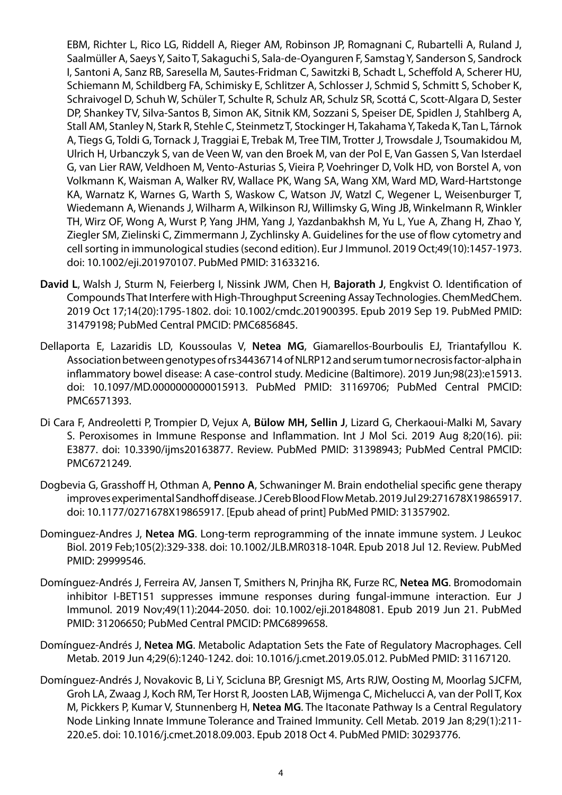EBM, Richter L, Rico LG, Riddell A, Rieger AM, Robinson JP, Romagnani C, Rubartelli A, Ruland J, Saalmüller A, Saeys Y, Saito T, Sakaguchi S, Sala-de-Oyanguren F, Samstag Y, Sanderson S, Sandrock I, Santoni A, Sanz RB, Saresella M, Sautes-Fridman C, Sawitzki B, Schadt L, Scheffold A, Scherer HU, Schiemann M, Schildberg FA, Schimisky E, Schlitzer A, Schlosser J, Schmid S, Schmitt S, Schober K, Schraivogel D, Schuh W, Schüler T, Schulte R, Schulz AR, Schulz SR, Scottá C, Scott-Algara D, Sester DP, Shankey TV, Silva-Santos B, Simon AK, Sitnik KM, Sozzani S, Speiser DE, Spidlen J, Stahlberg A, Stall AM, Stanley N, Stark R, Stehle C, Steinmetz T, Stockinger H, Takahama Y, Takeda K, Tan L, Tárnok A, Tiegs G, Toldi G, Tornack J, Traggiai E, Trebak M, Tree TIM, Trotter J, Trowsdale J, Tsoumakidou M, Ulrich H, Urbanczyk S, van de Veen W, van den Broek M, van der Pol E, Van Gassen S, Van Isterdael G, van Lier RAW, Veldhoen M, Vento-Asturias S, Vieira P, Voehringer D, Volk HD, von Borstel A, von Volkmann K, Waisman A, Walker RV, Wallace PK, Wang SA, Wang XM, Ward MD, Ward-Hartstonge KA, Warnatz K, Warnes G, Warth S, Waskow C, Watson JV, Watzl C, Wegener L, Weisenburger T, Wiedemann A, Wienands J, Wilharm A, Wilkinson RJ, Willimsky G, Wing JB, Winkelmann R, Winkler TH, Wirz OF, Wong A, Wurst P, Yang JHM, Yang J, Yazdanbakhsh M, Yu L, Yue A, Zhang H, Zhao Y, Ziegler SM, Zielinski C, Zimmermann J, Zychlinsky A. Guidelines for the use of flow cytometry and cell sorting in immunological studies (second edition). Eur J Immunol. 2019 Oct;49(10):1457-1973. doi: 10.1002/eji.201970107. PubMed PMID: 31633216.

- **David L**, Walsh J, Sturm N, Feierberg I, Nissink JWM, Chen H, **Bajorath J**, Engkvist O. Identification of Compounds That Interfere with High-Throughput Screening Assay Technologies. ChemMedChem. 2019 Oct 17;14(20):1795-1802. doi: 10.1002/cmdc.201900395. Epub 2019 Sep 19. PubMed PMID: 31479198; PubMed Central PMCID: PMC6856845.
- Dellaporta E, Lazaridis LD, Koussoulas V, **Netea MG**, Giamarellos-Bourboulis EJ, Triantafyllou K. Association between genotypes of rs34436714 of NLRP12 and serum tumor necrosis factor-alpha in inflammatory bowel disease: A case-control study. Medicine (Baltimore). 2019 Jun;98(23):e15913. doi: 10.1097/MD.0000000000015913. PubMed PMID: 31169706; PubMed Central PMCID: PMC6571393.
- Di Cara F, Andreoletti P, Trompier D, Vejux A, **Bülow MH, Sellin J**, Lizard G, Cherkaoui-Malki M, Savary S. Peroxisomes in Immune Response and Inflammation. Int J Mol Sci. 2019 Aug 8;20(16). pii: E3877. doi: 10.3390/ijms20163877. Review. PubMed PMID: 31398943; PubMed Central PMCID: PMC6721249.
- Dogbevia G, Grasshoff H, Othman A, **Penno A**, Schwaninger M. Brain endothelial specific gene therapy improves experimental Sandhoff disease. J Cereb Blood Flow Metab. 2019 Jul 29:271678X19865917. doi: 10.1177/0271678X19865917. [Epub ahead of print] PubMed PMID: 31357902.
- Dominguez-Andres J, **Netea MG**. Long-term reprogramming of the innate immune system. J Leukoc Biol. 2019 Feb;105(2):329-338. doi: 10.1002/JLB.MR0318-104R. Epub 2018 Jul 12. Review. PubMed PMID: 29999546.
- Domínguez-Andrés J, Ferreira AV, Jansen T, Smithers N, Prinjha RK, Furze RC, **Netea MG**. Bromodomain inhibitor I-BET151 suppresses immune responses during fungal-immune interaction. Eur J Immunol. 2019 Nov;49(11):2044-2050. doi: 10.1002/eji.201848081. Epub 2019 Jun 21. PubMed PMID: 31206650; PubMed Central PMCID: PMC6899658.
- Domínguez-Andrés J, **Netea MG**. Metabolic Adaptation Sets the Fate of Regulatory Macrophages. Cell Metab. 2019 Jun 4;29(6):1240-1242. doi: 10.1016/j.cmet.2019.05.012. PubMed PMID: 31167120.
- Domínguez-Andrés J, Novakovic B, Li Y, Scicluna BP, Gresnigt MS, Arts RJW, Oosting M, Moorlag SJCFM, Groh LA, Zwaag J, Koch RM, Ter Horst R, Joosten LAB, Wijmenga C, Michelucci A, van der Poll T, Kox M, Pickkers P, Kumar V, Stunnenberg H, **Netea MG**. The Itaconate Pathway Is a Central Regulatory Node Linking Innate Immune Tolerance and Trained Immunity. Cell Metab. 2019 Jan 8;29(1):211- 220.e5. doi: 10.1016/j.cmet.2018.09.003. Epub 2018 Oct 4. PubMed PMID: 30293776.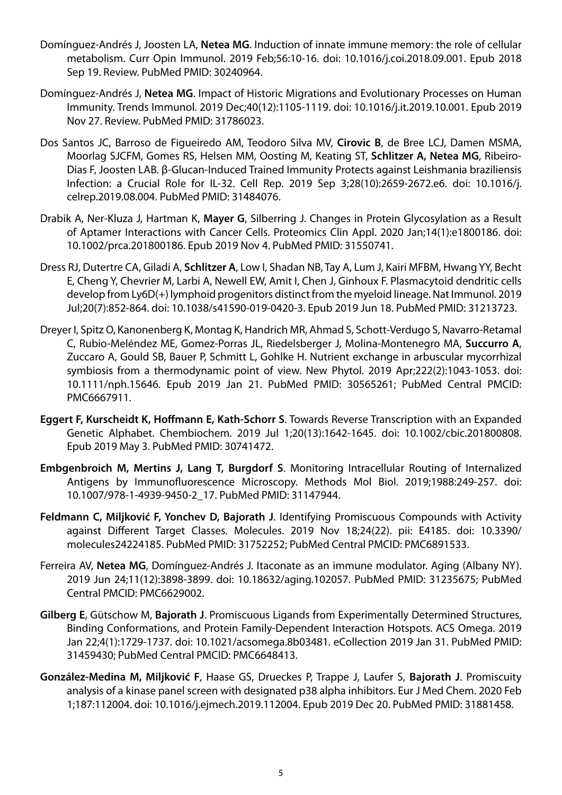- Domínguez-Andrés J, Joosten LA, **Netea MG**. Induction of innate immune memory: the role of cellular metabolism. Curr Opin Immunol. 2019 Feb;56:10-16. doi: 10.1016/j.coi.2018.09.001. Epub 2018 Sep 19. Review. PubMed PMID: 30240964.
- Domínguez-Andrés J, **Netea MG**. Impact of Historic Migrations and Evolutionary Processes on Human Immunity. Trends Immunol. 2019 Dec;40(12):1105-1119. doi: 10.1016/j.it.2019.10.001. Epub 2019 Nov 27. Review. PubMed PMID: 31786023.
- Dos Santos JC, Barroso de Figueiredo AM, Teodoro Silva MV, **Cirovic B**, de Bree LCJ, Damen MSMA, Moorlag SJCFM, Gomes RS, Helsen MM, Oosting M, Keating ST, **Schlitzer A, Netea MG**, Ribeiro-Dias F, Joosten LAB. β-Glucan-Induced Trained Immunity Protects against Leishmania braziliensis Infection: a Crucial Role for IL-32. Cell Rep. 2019 Sep 3;28(10):2659-2672.e6. doi: 10.1016/j. celrep.2019.08.004. PubMed PMID: 31484076.
- Drabik A, Ner-Kluza J, Hartman K, **Mayer G**, Silberring J. Changes in Protein Glycosylation as a Result of Aptamer Interactions with Cancer Cells. Proteomics Clin Appl. 2020 Jan;14(1):e1800186. doi: 10.1002/prca.201800186. Epub 2019 Nov 4. PubMed PMID: 31550741.
- Dress RJ, Dutertre CA, Giladi A, **Schlitzer A**, Low I, Shadan NB, Tay A, Lum J, Kairi MFBM, Hwang YY, Becht E, Cheng Y, Chevrier M, Larbi A, Newell EW, Amit I, Chen J, Ginhoux F. Plasmacytoid dendritic cells develop from Ly6D(+) lymphoid progenitors distinct from the myeloid lineage. Nat Immunol. 2019 Jul;20(7):852-864. doi: 10.1038/s41590-019-0420-3. Epub 2019 Jun 18. PubMed PMID: 31213723.
- Dreyer I, Spitz O, Kanonenberg K, Montag K, Handrich MR, Ahmad S, Schott-Verdugo S, Navarro-Retamal C, Rubio-Meléndez ME, Gomez-Porras JL, Riedelsberger J, Molina-Montenegro MA, **Succurro A**, Zuccaro A, Gould SB, Bauer P, Schmitt L, Gohlke H. Nutrient exchange in arbuscular mycorrhizal symbiosis from a thermodynamic point of view. New Phytol. 2019 Apr;222(2):1043-1053. doi: 10.1111/nph.15646. Epub 2019 Jan 21. PubMed PMID: 30565261; PubMed Central PMCID: PMC6667911.
- **Eggert F, Kurscheidt K, Hoffmann E, Kath-Schorr S**. Towards Reverse Transcription with an Expanded Genetic Alphabet. Chembiochem. 2019 Jul 1;20(13):1642-1645. doi: 10.1002/cbic.201800808. Epub 2019 May 3. PubMed PMID: 30741472.
- **Embgenbroich M, Mertins J, Lang T, Burgdorf S**. Monitoring Intracellular Routing of Internalized Antigens by Immunofluorescence Microscopy. Methods Mol Biol. 2019;1988:249-257. doi: 10.1007/978-1-4939-9450-2\_17. PubMed PMID: 31147944.
- **Feldmann C, Miljković F, Yonchev D, Bajorath J**. Identifying Promiscuous Compounds with Activity against Different Target Classes. Molecules. 2019 Nov 18;24(22). pii: E4185. doi: 10.3390/ molecules24224185. PubMed PMID: 31752252; PubMed Central PMCID: PMC6891533.
- Ferreira AV, **Netea MG**, Domínguez-Andrés J. Itaconate as an immune modulator. Aging (Albany NY). 2019 Jun 24;11(12):3898-3899. doi: 10.18632/aging.102057. PubMed PMID: 31235675; PubMed Central PMCID: PMC6629002.
- **Gilberg E**, Gütschow M, **Bajorath J**. Promiscuous Ligands from Experimentally Determined Structures, Binding Conformations, and Protein Family-Dependent Interaction Hotspots. ACS Omega. 2019 Jan 22;4(1):1729-1737. doi: 10.1021/acsomega.8b03481. eCollection 2019 Jan 31. PubMed PMID: 31459430; PubMed Central PMCID: PMC6648413.
- **González-Medina M, Miljković F**, Haase GS, Drueckes P, Trappe J, Laufer S, **Bajorath J**. Promiscuity analysis of a kinase panel screen with designated p38 alpha inhibitors. Eur J Med Chem. 2020 Feb 1;187:112004. doi: 10.1016/j.ejmech.2019.112004. Epub 2019 Dec 20. PubMed PMID: 31881458.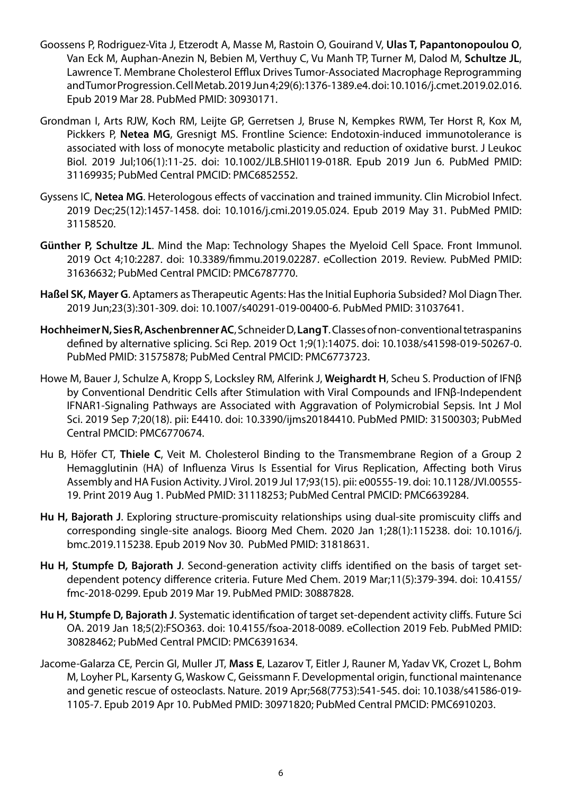- Goossens P, Rodriguez-Vita J, Etzerodt A, Masse M, Rastoin O, Gouirand V, **Ulas T, Papantonopoulou O**, Van Eck M, Auphan-Anezin N, Bebien M, Verthuy C, Vu Manh TP, Turner M, Dalod M, **Schultze JL**, Lawrence T. Membrane Cholesterol Efflux Drives Tumor-Associated Macrophage Reprogramming and Tumor Progression. Cell Metab. 2019 Jun 4;29(6):1376-1389.e4. doi: 10.1016/j.cmet.2019.02.016. Epub 2019 Mar 28. PubMed PMID: 30930171.
- Grondman I, Arts RJW, Koch RM, Leijte GP, Gerretsen J, Bruse N, Kempkes RWM, Ter Horst R, Kox M, Pickkers P, **Netea MG**, Gresnigt MS. Frontline Science: Endotoxin-induced immunotolerance is associated with loss of monocyte metabolic plasticity and reduction of oxidative burst. J Leukoc Biol. 2019 Jul;106(1):11-25. doi: 10.1002/JLB.5HI0119-018R. Epub 2019 Jun 6. PubMed PMID: 31169935; PubMed Central PMCID: PMC6852552.
- Gyssens IC, **Netea MG**. Heterologous effects of vaccination and trained immunity. Clin Microbiol Infect. 2019 Dec;25(12):1457-1458. doi: 10.1016/j.cmi.2019.05.024. Epub 2019 May 31. PubMed PMID: 31158520.
- **Günther P, Schultze JL**. Mind the Map: Technology Shapes the Myeloid Cell Space. Front Immunol. 2019 Oct 4;10:2287. doi: 10.3389/fimmu.2019.02287. eCollection 2019. Review. PubMed PMID: 31636632; PubMed Central PMCID: PMC6787770.
- **Haßel SK, Mayer G**. Aptamers as Therapeutic Agents: Has the Initial Euphoria Subsided? Mol Diagn Ther. 2019 Jun;23(3):301-309. doi: 10.1007/s40291-019-00400-6. PubMed PMID: 31037641.
- **Hochheimer N, Sies R, Aschenbrenner AC**, Schneider D, **Lang T**. Classes of non-conventional tetraspanins defined by alternative splicing. Sci Rep. 2019 Oct 1;9(1):14075. doi: 10.1038/s41598-019-50267-0. PubMed PMID: 31575878; PubMed Central PMCID: PMC6773723.
- Howe M, Bauer J, Schulze A, Kropp S, Locksley RM, Alferink J, **Weighardt H**, Scheu S. Production of IFNβ by Conventional Dendritic Cells after Stimulation with Viral Compounds and IFNβ-Independent IFNAR1-Signaling Pathways are Associated with Aggravation of Polymicrobial Sepsis. Int J Mol Sci. 2019 Sep 7;20(18). pii: E4410. doi: 10.3390/ijms20184410. PubMed PMID: 31500303; PubMed Central PMCID: PMC6770674.
- Hu B, Höfer CT, **Thiele C**, Veit M. Cholesterol Binding to the Transmembrane Region of a Group 2 Hemagglutinin (HA) of Influenza Virus Is Essential for Virus Replication, Affecting both Virus Assembly and HA Fusion Activity. J Virol. 2019 Jul 17;93(15). pii: e00555-19. doi: 10.1128/JVI.00555- 19. Print 2019 Aug 1. PubMed PMID: 31118253; PubMed Central PMCID: PMC6639284.
- **Hu H, Bajorath J**. Exploring structure-promiscuity relationships using dual-site promiscuity cliffs and corresponding single-site analogs. Bioorg Med Chem. 2020 Jan 1;28(1):115238. doi: 10.1016/j. bmc.2019.115238. Epub 2019 Nov 30. PubMed PMID: 31818631.
- **Hu H, Stumpfe D, Bajorath J**. Second-generation activity cliffs identified on the basis of target setdependent potency difference criteria. Future Med Chem. 2019 Mar;11(5):379-394. doi: 10.4155/ fmc-2018-0299. Epub 2019 Mar 19. PubMed PMID: 30887828.
- **Hu H, Stumpfe D, Bajorath J**. Systematic identification of target set-dependent activity cliffs. Future Sci OA. 2019 Jan 18;5(2):FSO363. doi: 10.4155/fsoa-2018-0089. eCollection 2019 Feb. PubMed PMID: 30828462; PubMed Central PMCID: PMC6391634.
- Jacome-Galarza CE, Percin GI, Muller JT, **Mass E**, Lazarov T, Eitler J, Rauner M, Yadav VK, Crozet L, Bohm M, Loyher PL, Karsenty G, Waskow C, Geissmann F. Developmental origin, functional maintenance and genetic rescue of osteoclasts. Nature. 2019 Apr;568(7753):541-545. doi: 10.1038/s41586-019- 1105-7. Epub 2019 Apr 10. PubMed PMID: 30971820; PubMed Central PMCID: PMC6910203.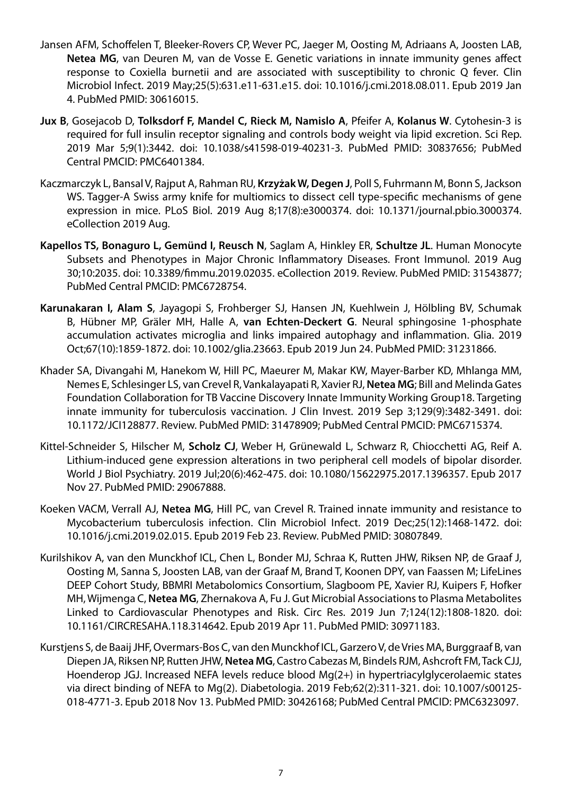- Jansen AFM, Schoffelen T, Bleeker-Rovers CP, Wever PC, Jaeger M, Oosting M, Adriaans A, Joosten LAB, **Netea MG**, van Deuren M, van de Vosse E. Genetic variations in innate immunity genes affect response to Coxiella burnetii and are associated with susceptibility to chronic Q fever. Clin Microbiol Infect. 2019 May;25(5):631.e11-631.e15. doi: 10.1016/j.cmi.2018.08.011. Epub 2019 Jan 4. PubMed PMID: 30616015.
- **Jux B**, Gosejacob D, **Tolksdorf F, Mandel C, Rieck M, Namislo A**, Pfeifer A, **Kolanus W**. Cytohesin-3 is required for full insulin receptor signaling and controls body weight via lipid excretion. Sci Rep. 2019 Mar 5;9(1):3442. doi: 10.1038/s41598-019-40231-3. PubMed PMID: 30837656; PubMed Central PMCID: PMC6401384.
- Kaczmarczyk L, Bansal V, Rajput A, Rahman RU, **Krzyżak W, Degen J**, Poll S, Fuhrmann M, Bonn S, Jackson WS. Tagger-A Swiss army knife for multiomics to dissect cell type-specific mechanisms of gene expression in mice. PLoS Biol. 2019 Aug 8;17(8):e3000374. doi: 10.1371/journal.pbio.3000374. eCollection 2019 Aug.
- **Kapellos TS, Bonaguro L, Gemünd I, Reusch N**, Saglam A, Hinkley ER, **Schultze JL**. Human Monocyte Subsets and Phenotypes in Major Chronic Inflammatory Diseases. Front Immunol. 2019 Aug 30;10:2035. doi: 10.3389/fimmu.2019.02035. eCollection 2019. Review. PubMed PMID: 31543877; PubMed Central PMCID: PMC6728754.
- **Karunakaran I, Alam S**, Jayagopi S, Frohberger SJ, Hansen JN, Kuehlwein J, Hölbling BV, Schumak B, Hübner MP, Gräler MH, Halle A, **van Echten-Deckert G**. Neural sphingosine 1-phosphate accumulation activates microglia and links impaired autophagy and inflammation. Glia. 2019 Oct;67(10):1859-1872. doi: 10.1002/glia.23663. Epub 2019 Jun 24. PubMed PMID: 31231866.
- Khader SA, Divangahi M, Hanekom W, Hill PC, Maeurer M, Makar KW, Mayer-Barber KD, Mhlanga MM, Nemes E, Schlesinger LS, van Crevel R, Vankalayapati R, Xavier RJ, **Netea MG**; Bill and Melinda Gates Foundation Collaboration for TB Vaccine Discovery Innate Immunity Working Group18. Targeting innate immunity for tuberculosis vaccination. J Clin Invest. 2019 Sep 3;129(9):3482-3491. doi: 10.1172/JCI128877. Review. PubMed PMID: 31478909; PubMed Central PMCID: PMC6715374.
- Kittel-Schneider S, Hilscher M, **Scholz CJ**, Weber H, Grünewald L, Schwarz R, Chiocchetti AG, Reif A. Lithium-induced gene expression alterations in two peripheral cell models of bipolar disorder. World J Biol Psychiatry. 2019 Jul;20(6):462-475. doi: 10.1080/15622975.2017.1396357. Epub 2017 Nov 27. PubMed PMID: 29067888.
- Koeken VACM, Verrall AJ, **Netea MG**, Hill PC, van Crevel R. Trained innate immunity and resistance to Mycobacterium tuberculosis infection. Clin Microbiol Infect. 2019 Dec;25(12):1468-1472. doi: 10.1016/j.cmi.2019.02.015. Epub 2019 Feb 23. Review. PubMed PMID: 30807849.
- Kurilshikov A, van den Munckhof ICL, Chen L, Bonder MJ, Schraa K, Rutten JHW, Riksen NP, de Graaf J, Oosting M, Sanna S, Joosten LAB, van der Graaf M, Brand T, Koonen DPY, van Faassen M; LifeLines DEEP Cohort Study, BBMRI Metabolomics Consortium, Slagboom PE, Xavier RJ, Kuipers F, Hofker MH, Wijmenga C, **Netea MG**, Zhernakova A, Fu J. Gut Microbial Associations to Plasma Metabolites Linked to Cardiovascular Phenotypes and Risk. Circ Res. 2019 Jun 7;124(12):1808-1820. doi: 10.1161/CIRCRESAHA.118.314642. Epub 2019 Apr 11. PubMed PMID: 30971183.
- Kurstjens S, de Baaij JHF, Overmars-Bos C, van den Munckhof ICL, Garzero V, de Vries MA, Burggraaf B, van Diepen JA, Riksen NP, Rutten JHW, **Netea MG**, Castro Cabezas M, Bindels RJM, Ashcroft FM, Tack CJJ, Hoenderop JGJ. Increased NEFA levels reduce blood Mg(2+) in hypertriacylglycerolaemic states via direct binding of NEFA to Mg(2). Diabetologia. 2019 Feb;62(2):311-321. doi: 10.1007/s00125- 018-4771-3. Epub 2018 Nov 13. PubMed PMID: 30426168; PubMed Central PMCID: PMC6323097.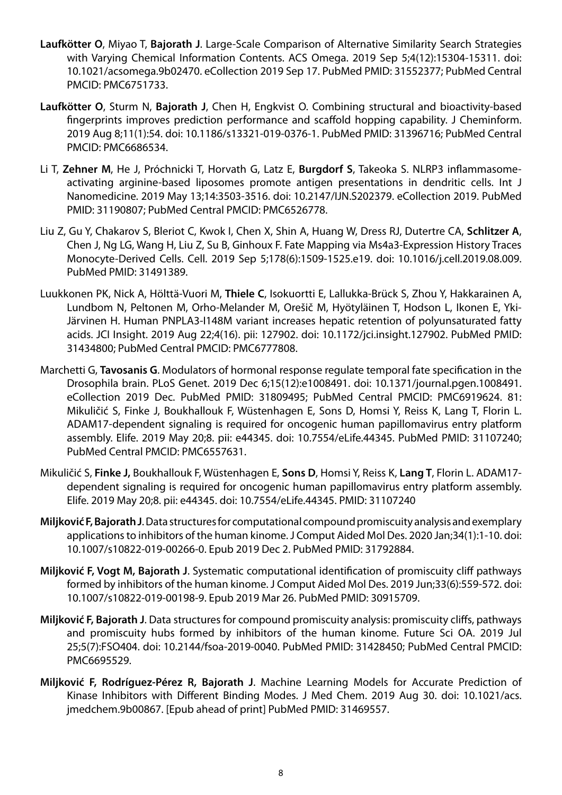- **Laufkötter O**, Miyao T, **Bajorath J**. Large-Scale Comparison of Alternative Similarity Search Strategies with Varying Chemical Information Contents. ACS Omega. 2019 Sep 5;4(12):15304-15311. doi: 10.1021/acsomega.9b02470. eCollection 2019 Sep 17. PubMed PMID: 31552377; PubMed Central PMCID: PMC6751733.
- **Laufkötter O**, Sturm N, **Bajorath J**, Chen H, Engkvist O. Combining structural and bioactivity-based fingerprints improves prediction performance and scaffold hopping capability. J Cheminform. 2019 Aug 8;11(1):54. doi: 10.1186/s13321-019-0376-1. PubMed PMID: 31396716; PubMed Central PMCID: PMC6686534.
- Li T, **Zehner M**, He J, Próchnicki T, Horvath G, Latz E, **Burgdorf S**, Takeoka S. NLRP3 inflammasomeactivating arginine-based liposomes promote antigen presentations in dendritic cells. Int J Nanomedicine. 2019 May 13;14:3503-3516. doi: 10.2147/IJN.S202379. eCollection 2019. PubMed PMID: 31190807; PubMed Central PMCID: PMC6526778.
- Liu Z, Gu Y, Chakarov S, Bleriot C, Kwok I, Chen X, Shin A, Huang W, Dress RJ, Dutertre CA, **Schlitzer A**, Chen J, Ng LG, Wang H, Liu Z, Su B, Ginhoux F. Fate Mapping via Ms4a3-Expression History Traces Monocyte-Derived Cells. Cell. 2019 Sep 5;178(6):1509-1525.e19. doi: 10.1016/j.cell.2019.08.009. PubMed PMID: 31491389.
- Luukkonen PK, Nick A, Hölttä-Vuori M, **Thiele C**, Isokuortti E, Lallukka-Brück S, Zhou Y, Hakkarainen A, Lundbom N, Peltonen M, Orho-Melander M, Orešič M, Hyötyläinen T, Hodson L, Ikonen E, Yki-Järvinen H. Human PNPLA3-I148M variant increases hepatic retention of polyunsaturated fatty acids. JCI Insight. 2019 Aug 22;4(16). pii: 127902. doi: 10.1172/jci.insight.127902. PubMed PMID: 31434800; PubMed Central PMCID: PMC6777808.
- Marchetti G, **Tavosanis G**. Modulators of hormonal response regulate temporal fate specification in the Drosophila brain. PLoS Genet. 2019 Dec 6;15(12):e1008491. doi: 10.1371/journal.pgen.1008491. eCollection 2019 Dec. PubMed PMID: 31809495; PubMed Central PMCID: PMC6919624. 81: Mikuličić S, Finke J, Boukhallouk F, Wüstenhagen E, Sons D, Homsi Y, Reiss K, Lang T, Florin L. ADAM17-dependent signaling is required for oncogenic human papillomavirus entry platform assembly. Elife. 2019 May 20;8. pii: e44345. doi: 10.7554/eLife.44345. PubMed PMID: 31107240; PubMed Central PMCID: PMC6557631.
- Mikuličić S, **Finke J,** Boukhallouk F, Wüstenhagen E, **Sons D**, Homsi Y, Reiss K, **Lang T**, Florin L. ADAM17 dependent signaling is required for oncogenic human papillomavirus entry platform assembly. Elife. 2019 May 20;8. pii: e44345. doi: 10.7554/eLife.44345. PMID: 31107240
- **Miljković F, Bajorath J**. Data structures for computational compound promiscuity analysis and exemplary applications to inhibitors of the human kinome. J Comput Aided Mol Des. 2020 Jan;34(1):1-10. doi: 10.1007/s10822-019-00266-0. Epub 2019 Dec 2. PubMed PMID: 31792884.
- **Miljković F, Vogt M, Bajorath J**. Systematic computational identification of promiscuity cliff pathways formed by inhibitors of the human kinome. J Comput Aided Mol Des. 2019 Jun;33(6):559-572. doi: 10.1007/s10822-019-00198-9. Epub 2019 Mar 26. PubMed PMID: 30915709.
- **Miljković F, Bajorath J**. Data structures for compound promiscuity analysis: promiscuity cliffs, pathways and promiscuity hubs formed by inhibitors of the human kinome. Future Sci OA. 2019 Jul 25;5(7):FSO404. doi: 10.2144/fsoa-2019-0040. PubMed PMID: 31428450; PubMed Central PMCID: PMC6695529.
- **Miljković F, Rodríguez-Pérez R, Bajorath J**. Machine Learning Models for Accurate Prediction of Kinase Inhibitors with Different Binding Modes. J Med Chem. 2019 Aug 30. doi: 10.1021/acs. jmedchem.9b00867. [Epub ahead of print] PubMed PMID: 31469557.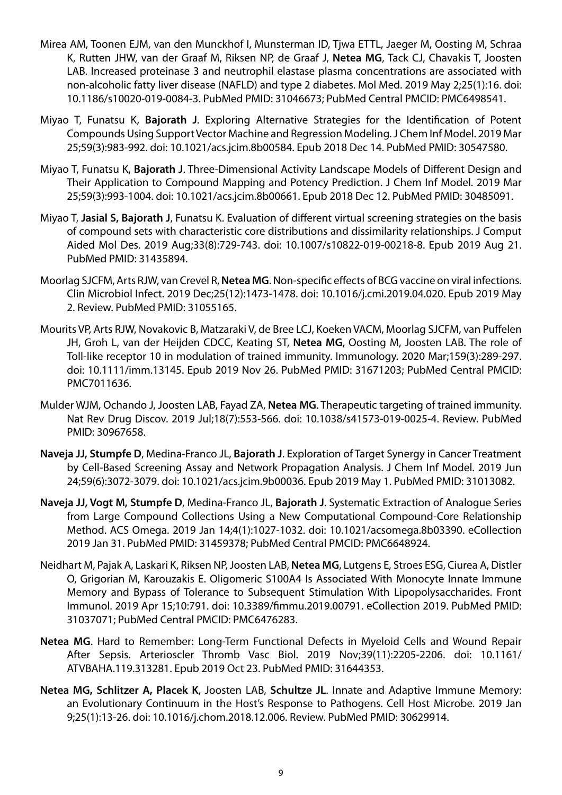- Mirea AM, Toonen EJM, van den Munckhof I, Munsterman ID, Tjwa ETTL, Jaeger M, Oosting M, Schraa K, Rutten JHW, van der Graaf M, Riksen NP, de Graaf J, **Netea MG**, Tack CJ, Chavakis T, Joosten LAB. Increased proteinase 3 and neutrophil elastase plasma concentrations are associated with non-alcoholic fatty liver disease (NAFLD) and type 2 diabetes. Mol Med. 2019 May 2;25(1):16. doi: 10.1186/s10020-019-0084-3. PubMed PMID: 31046673; PubMed Central PMCID: PMC6498541.
- Miyao T, Funatsu K, **Bajorath J**. Exploring Alternative Strategies for the Identification of Potent Compounds Using Support Vector Machine and Regression Modeling. J Chem Inf Model. 2019 Mar 25;59(3):983-992. doi: 10.1021/acs.jcim.8b00584. Epub 2018 Dec 14. PubMed PMID: 30547580.
- Miyao T, Funatsu K, **Bajorath J**. Three-Dimensional Activity Landscape Models of Different Design and Their Application to Compound Mapping and Potency Prediction. J Chem Inf Model. 2019 Mar 25;59(3):993-1004. doi: 10.1021/acs.jcim.8b00661. Epub 2018 Dec 12. PubMed PMID: 30485091.
- Miyao T, **Jasial S, Bajorath J**, Funatsu K. Evaluation of different virtual screening strategies on the basis of compound sets with characteristic core distributions and dissimilarity relationships. J Comput Aided Mol Des. 2019 Aug;33(8):729-743. doi: 10.1007/s10822-019-00218-8. Epub 2019 Aug 21. PubMed PMID: 31435894.
- Moorlag SJCFM, Arts RJW, van Crevel R, **Netea MG**. Non-specific effects of BCG vaccine on viral infections. Clin Microbiol Infect. 2019 Dec;25(12):1473-1478. doi: 10.1016/j.cmi.2019.04.020. Epub 2019 May 2. Review. PubMed PMID: 31055165.
- Mourits VP, Arts RJW, Novakovic B, Matzaraki V, de Bree LCJ, Koeken VACM, Moorlag SJCFM, van Puffelen JH, Groh L, van der Heijden CDCC, Keating ST, **Netea MG**, Oosting M, Joosten LAB. The role of Toll-like receptor 10 in modulation of trained immunity. Immunology. 2020 Mar;159(3):289-297. doi: 10.1111/imm.13145. Epub 2019 Nov 26. PubMed PMID: 31671203; PubMed Central PMCID: PMC7011636.
- Mulder WJM, Ochando J, Joosten LAB, Fayad ZA, **Netea MG**. Therapeutic targeting of trained immunity. Nat Rev Drug Discov. 2019 Jul;18(7):553-566. doi: 10.1038/s41573-019-0025-4. Review. PubMed PMID: 30967658.
- **Naveja JJ, Stumpfe D**, Medina-Franco JL, **Bajorath J**. Exploration of Target Synergy in Cancer Treatment by Cell-Based Screening Assay and Network Propagation Analysis. J Chem Inf Model. 2019 Jun 24;59(6):3072-3079. doi: 10.1021/acs.jcim.9b00036. Epub 2019 May 1. PubMed PMID: 31013082.
- **Naveja JJ, Vogt M, Stumpfe D**, Medina-Franco JL, **Bajorath J**. Systematic Extraction of Analogue Series from Large Compound Collections Using a New Computational Compound-Core Relationship Method. ACS Omega. 2019 Jan 14;4(1):1027-1032. doi: 10.1021/acsomega.8b03390. eCollection 2019 Jan 31. PubMed PMID: 31459378; PubMed Central PMCID: PMC6648924.
- Neidhart M, Pajak A, Laskari K, Riksen NP, Joosten LAB, **Netea MG**, Lutgens E, Stroes ESG, Ciurea A, Distler O, Grigorian M, Karouzakis E. Oligomeric S100A4 Is Associated With Monocyte Innate Immune Memory and Bypass of Tolerance to Subsequent Stimulation With Lipopolysaccharides. Front Immunol. 2019 Apr 15;10:791. doi: 10.3389/fimmu.2019.00791. eCollection 2019. PubMed PMID: 31037071; PubMed Central PMCID: PMC6476283.
- **Netea MG**. Hard to Remember: Long-Term Functional Defects in Myeloid Cells and Wound Repair After Sepsis. Arterioscler Thromb Vasc Biol. 2019 Nov;39(11):2205-2206. doi: 10.1161/ ATVBAHA.119.313281. Epub 2019 Oct 23. PubMed PMID: 31644353.
- **Netea MG, Schlitzer A, Placek K**, Joosten LAB, **Schultze JL**. Innate and Adaptive Immune Memory: an Evolutionary Continuum in the Host's Response to Pathogens. Cell Host Microbe. 2019 Jan 9;25(1):13-26. doi: 10.1016/j.chom.2018.12.006. Review. PubMed PMID: 30629914.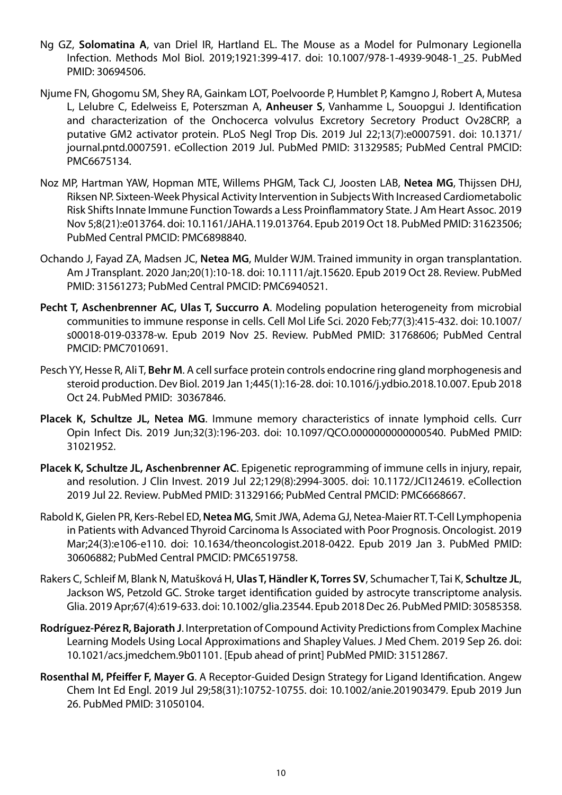- Ng GZ, **Solomatina A**, van Driel IR, Hartland EL. The Mouse as a Model for Pulmonary Legionella Infection. Methods Mol Biol. 2019;1921:399-417. doi: 10.1007/978-1-4939-9048-1\_25. PubMed PMID: 30694506.
- Njume FN, Ghogomu SM, Shey RA, Gainkam LOT, Poelvoorde P, Humblet P, Kamgno J, Robert A, Mutesa L, Lelubre C, Edelweiss E, Poterszman A, **Anheuser S**, Vanhamme L, Souopgui J. Identification and characterization of the Onchocerca volvulus Excretory Secretory Product Ov28CRP, a putative GM2 activator protein. PLoS Negl Trop Dis. 2019 Jul 22;13(7):e0007591. doi: 10.1371/ journal.pntd.0007591. eCollection 2019 Jul. PubMed PMID: 31329585; PubMed Central PMCID: PMC6675134.
- Noz MP, Hartman YAW, Hopman MTE, Willems PHGM, Tack CJ, Joosten LAB, **Netea MG**, Thijssen DHJ, Riksen NP. Sixteen-Week Physical Activity Intervention in Subjects With Increased Cardiometabolic Risk Shifts Innate Immune Function Towards a Less Proinflammatory State. J Am Heart Assoc. 2019 Nov 5;8(21):e013764. doi: 10.1161/JAHA.119.013764. Epub 2019 Oct 18. PubMed PMID: 31623506; PubMed Central PMCID: PMC6898840.
- Ochando J, Fayad ZA, Madsen JC, **Netea MG**, Mulder WJM. Trained immunity in organ transplantation. Am J Transplant. 2020 Jan;20(1):10-18. doi: 10.1111/ajt.15620. Epub 2019 Oct 28. Review. PubMed PMID: 31561273; PubMed Central PMCID: PMC6940521.
- **Pecht T, Aschenbrenner AC, Ulas T, Succurro A**. Modeling population heterogeneity from microbial communities to immune response in cells. Cell Mol Life Sci. 2020 Feb;77(3):415-432. doi: 10.1007/ s00018-019-03378-w. Epub 2019 Nov 25. Review. PubMed PMID: 31768606; PubMed Central PMCID: PMC7010691.
- Pesch YY, Hesse R, Ali T, **Behr M**. A cell surface protein controls endocrine ring gland morphogenesis and steroid production. Dev Biol. 2019 Jan 1;445(1):16-28. doi: 10.1016/j.ydbio.2018.10.007. Epub 2018 Oct 24. PubMed PMID: 30367846.
- **Placek K, Schultze JL, Netea MG**. Immune memory characteristics of innate lymphoid cells. Curr Opin Infect Dis. 2019 Jun;32(3):196-203. doi: 10.1097/QCO.0000000000000540. PubMed PMID: 31021952.
- **Placek K, Schultze JL, Aschenbrenner AC**. Epigenetic reprogramming of immune cells in injury, repair, and resolution. J Clin Invest. 2019 Jul 22;129(8):2994-3005. doi: 10.1172/JCI124619. eCollection 2019 Jul 22. Review. PubMed PMID: 31329166; PubMed Central PMCID: PMC6668667.
- Rabold K, Gielen PR, Kers-Rebel ED, **Netea MG**, Smit JWA, Adema GJ, Netea-Maier RT. T-Cell Lymphopenia in Patients with Advanced Thyroid Carcinoma Is Associated with Poor Prognosis. Oncologist. 2019 Mar;24(3):e106-e110. doi: 10.1634/theoncologist.2018-0422. Epub 2019 Jan 3. PubMed PMID: 30606882; PubMed Central PMCID: PMC6519758.
- Rakers C, Schleif M, Blank N, Matušková H, **Ulas T, Händler K, Torres SV**, Schumacher T, Tai K, **Schultze JL**, Jackson WS, Petzold GC. Stroke target identification guided by astrocyte transcriptome analysis. Glia. 2019 Apr;67(4):619-633. doi: 10.1002/glia.23544. Epub 2018 Dec 26. PubMed PMID: 30585358.
- **Rodríguez-Pérez R, Bajorath J**. Interpretation of Compound Activity Predictions from Complex Machine Learning Models Using Local Approximations and Shapley Values. J Med Chem. 2019 Sep 26. doi: 10.1021/acs.jmedchem.9b01101. [Epub ahead of print] PubMed PMID: 31512867.
- **Rosenthal M, Pfeiffer F, Mayer G**. A Receptor-Guided Design Strategy for Ligand Identification. Angew Chem Int Ed Engl. 2019 Jul 29;58(31):10752-10755. doi: 10.1002/anie.201903479. Epub 2019 Jun 26. PubMed PMID: 31050104.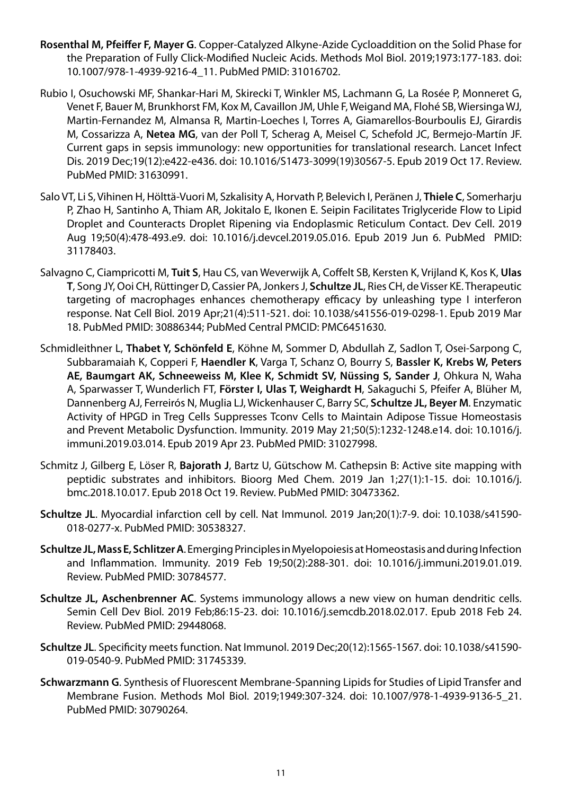- **Rosenthal M, Pfeiffer F, Mayer G**. Copper-Catalyzed Alkyne-Azide Cycloaddition on the Solid Phase for the Preparation of Fully Click-Modified Nucleic Acids. Methods Mol Biol. 2019;1973:177-183. doi: 10.1007/978-1-4939-9216-4\_11. PubMed PMID: 31016702.
- Rubio I, Osuchowski MF, Shankar-Hari M, Skirecki T, Winkler MS, Lachmann G, La Rosée P, Monneret G, Venet F, Bauer M, Brunkhorst FM, Kox M, Cavaillon JM, Uhle F, Weigand MA, Flohé SB, Wiersinga WJ, Martin-Fernandez M, Almansa R, Martin-Loeches I, Torres A, Giamarellos-Bourboulis EJ, Girardis M, Cossarizza A, **Netea MG**, van der Poll T, Scherag A, Meisel C, Schefold JC, Bermejo-Martín JF. Current gaps in sepsis immunology: new opportunities for translational research. Lancet Infect Dis. 2019 Dec;19(12):e422-e436. doi: 10.1016/S1473-3099(19)30567-5. Epub 2019 Oct 17. Review. PubMed PMID: 31630991.
- Salo VT, Li S, Vihinen H, Hölttä-Vuori M, Szkalisity A, Horvath P, Belevich I, Peränen J, **Thiele C**, Somerharju P, Zhao H, Santinho A, Thiam AR, Jokitalo E, Ikonen E. Seipin Facilitates Triglyceride Flow to Lipid Droplet and Counteracts Droplet Ripening via Endoplasmic Reticulum Contact. Dev Cell. 2019 Aug 19;50(4):478-493.e9. doi: 10.1016/j.devcel.2019.05.016. Epub 2019 Jun 6. PubMed PMID: 31178403.
- Salvagno C, Ciampricotti M, **Tuit S**, Hau CS, van Weverwijk A, Coffelt SB, Kersten K, Vrijland K, Kos K, **Ulas T**, Song JY, Ooi CH, Rüttinger D, Cassier PA, Jonkers J, **Schultze JL**, Ries CH, de Visser KE. Therapeutic targeting of macrophages enhances chemotherapy efficacy by unleashing type I interferon response. Nat Cell Biol. 2019 Apr;21(4):511-521. doi: 10.1038/s41556-019-0298-1. Epub 2019 Mar 18. PubMed PMID: 30886344; PubMed Central PMCID: PMC6451630.
- Schmidleithner L, **Thabet Y, Schönfeld E**, Köhne M, Sommer D, Abdullah Z, Sadlon T, Osei-Sarpong C, Subbaramaiah K, Copperi F, **Haendler K**, Varga T, Schanz O, Bourry S, **Bassler K, Krebs W, Peters AE, Baumgart AK, Schneeweiss M, Klee K, Schmidt SV, Nüssing S, Sander J**, Ohkura N, Waha A, Sparwasser T, Wunderlich FT, **Förster I, Ulas T, Weighardt H**, Sakaguchi S, Pfeifer A, Blüher M, Dannenberg AJ, Ferreirós N, Muglia LJ, Wickenhauser C, Barry SC, **Schultze JL, Beyer M**. Enzymatic Activity of HPGD in Treg Cells Suppresses Tconv Cells to Maintain Adipose Tissue Homeostasis and Prevent Metabolic Dysfunction. Immunity. 2019 May 21;50(5):1232-1248.e14. doi: 10.1016/j. immuni.2019.03.014. Epub 2019 Apr 23. PubMed PMID: 31027998.
- Schmitz J, Gilberg E, Löser R, **Bajorath J**, Bartz U, Gütschow M. Cathepsin B: Active site mapping with peptidic substrates and inhibitors. Bioorg Med Chem. 2019 Jan 1;27(1):1-15. doi: 10.1016/j. bmc.2018.10.017. Epub 2018 Oct 19. Review. PubMed PMID: 30473362.
- **Schultze JL**. Myocardial infarction cell by cell. Nat Immunol. 2019 Jan;20(1):7-9. doi: 10.1038/s41590- 018-0277-x. PubMed PMID: 30538327.
- **Schultze JL, Mass E, Schlitzer A**. Emerging Principles in Myelopoiesis at Homeostasis and during Infection and Inflammation. Immunity. 2019 Feb 19;50(2):288-301. doi: 10.1016/j.immuni.2019.01.019. Review. PubMed PMID: 30784577.
- **Schultze JL, Aschenbrenner AC**. Systems immunology allows a new view on human dendritic cells. Semin Cell Dev Biol. 2019 Feb;86:15-23. doi: 10.1016/j.semcdb.2018.02.017. Epub 2018 Feb 24. Review. PubMed PMID: 29448068.
- **Schultze JL**. Specificity meets function. Nat Immunol. 2019 Dec;20(12):1565-1567. doi: 10.1038/s41590- 019-0540-9. PubMed PMID: 31745339.
- **Schwarzmann G**. Synthesis of Fluorescent Membrane-Spanning Lipids for Studies of Lipid Transfer and Membrane Fusion. Methods Mol Biol. 2019;1949:307-324. doi: 10.1007/978-1-4939-9136-5\_21. PubMed PMID: 30790264.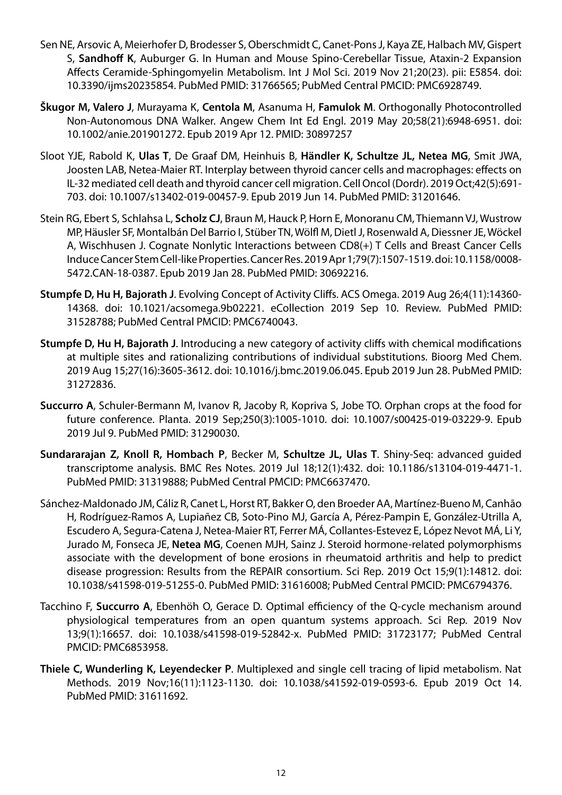- Sen NE, Arsovic A, Meierhofer D, Brodesser S, Oberschmidt C, Canet-Pons J, Kaya ZE, Halbach MV, Gispert S, **Sandhoff K**, Auburger G. In Human and Mouse Spino-Cerebellar Tissue, Ataxin-2 Expansion Affects Ceramide-Sphingomyelin Metabolism. Int J Mol Sci. 2019 Nov 21;20(23). pii: E5854. doi: 10.3390/ijms20235854. PubMed PMID: 31766565; PubMed Central PMCID: PMC6928749.
- **Škugor M, Valero J**, Murayama K, **Centola M**, Asanuma H, **Famulok M**. Orthogonally Photocontrolled Non-Autonomous DNA Walker. Angew Chem Int Ed Engl. 2019 May 20;58(21):6948-6951. doi: 10.1002/anie.201901272. Epub 2019 Apr 12. PMID: 30897257
- Sloot YJE, Rabold K, **Ulas T**, De Graaf DM, Heinhuis B, **Händler K, Schultze JL, Netea MG**, Smit JWA, Joosten LAB, Netea-Maier RT. Interplay between thyroid cancer cells and macrophages: effects on IL-32 mediated cell death and thyroid cancer cell migration. Cell Oncol (Dordr). 2019 Oct;42(5):691- 703. doi: 10.1007/s13402-019-00457-9. Epub 2019 Jun 14. PubMed PMID: 31201646.
- Stein RG, Ebert S, Schlahsa L, **Scholz CJ**, Braun M, Hauck P, Horn E, Monoranu CM, Thiemann VJ, Wustrow MP, Häusler SF, Montalbán Del Barrio I, Stüber TN, Wölfl M, Dietl J, Rosenwald A, Diessner JE, Wöckel A, Wischhusen J. Cognate Nonlytic Interactions between CD8(+) T Cells and Breast Cancer Cells Induce Cancer Stem Cell-like Properties. Cancer Res. 2019 Apr 1;79(7):1507-1519. doi: 10.1158/0008- 5472.CAN-18-0387. Epub 2019 Jan 28. PubMed PMID: 30692216.
- **Stumpfe D, Hu H, Bajorath J**. Evolving Concept of Activity Cliffs. ACS Omega. 2019 Aug 26;4(11):14360- 14368. doi: 10.1021/acsomega.9b02221. eCollection 2019 Sep 10. Review. PubMed PMID: 31528788; PubMed Central PMCID: PMC6740043.
- **Stumpfe D, Hu H, Bajorath J**. Introducing a new category of activity cliffs with chemical modifications at multiple sites and rationalizing contributions of individual substitutions. Bioorg Med Chem. 2019 Aug 15;27(16):3605-3612. doi: 10.1016/j.bmc.2019.06.045. Epub 2019 Jun 28. PubMed PMID: 31272836.
- **Succurro A**, Schuler-Bermann M, Ivanov R, Jacoby R, Kopriva S, Jobe TO. Orphan crops at the food for future conference. Planta. 2019 Sep;250(3):1005-1010. doi: 10.1007/s00425-019-03229-9. Epub 2019 Jul 9. PubMed PMID: 31290030.
- **Sundararajan Z, Knoll R, Hombach P**, Becker M, **Schultze JL, Ulas T**. Shiny-Seq: advanced guided transcriptome analysis. BMC Res Notes. 2019 Jul 18;12(1):432. doi: 10.1186/s13104-019-4471-1. PubMed PMID: 31319888; PubMed Central PMCID: PMC6637470.
- Sánchez-Maldonado JM, Cáliz R, Canet L, Horst RT, Bakker O, den Broeder AA, Martínez-Bueno M, Canhão H, Rodríguez-Ramos A, Lupiañez CB, Soto-Pino MJ, García A, Pérez-Pampin E, González-Utrilla A, Escudero A, Segura-Catena J, Netea-Maier RT, Ferrer MÁ, Collantes-Estevez E, López Nevot MÁ, Li Y, Jurado M, Fonseca JE, **Netea MG**, Coenen MJH, Sainz J. Steroid hormone-related polymorphisms associate with the development of bone erosions in rheumatoid arthritis and help to predict disease progression: Results from the REPAIR consortium. Sci Rep. 2019 Oct 15;9(1):14812. doi: 10.1038/s41598-019-51255-0. PubMed PMID: 31616008; PubMed Central PMCID: PMC6794376.
- Tacchino F, **Succurro A**, Ebenhöh O, Gerace D. Optimal efficiency of the Q-cycle mechanism around physiological temperatures from an open quantum systems approach. Sci Rep. 2019 Nov 13;9(1):16657. doi: 10.1038/s41598-019-52842-x. PubMed PMID: 31723177; PubMed Central PMCID: PMC6853958.
- **Thiele C, Wunderling K, Leyendecker P**. Multiplexed and single cell tracing of lipid metabolism. Nat Methods. 2019 Nov;16(11):1123-1130. doi: 10.1038/s41592-019-0593-6. Epub 2019 Oct 14. PubMed PMID: 31611692.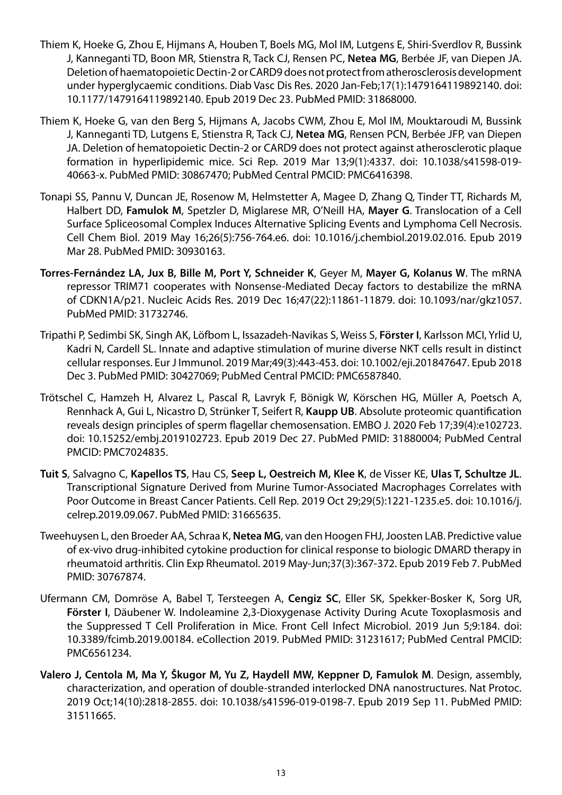- Thiem K, Hoeke G, Zhou E, Hijmans A, Houben T, Boels MG, Mol IM, Lutgens E, Shiri-Sverdlov R, Bussink J, Kanneganti TD, Boon MR, Stienstra R, Tack CJ, Rensen PC, **Netea MG**, Berbée JF, van Diepen JA. Deletion of haematopoietic Dectin-2 or CARD9 does not protect from atherosclerosis development under hyperglycaemic conditions. Diab Vasc Dis Res. 2020 Jan-Feb;17(1):1479164119892140. doi: 10.1177/1479164119892140. Epub 2019 Dec 23. PubMed PMID: 31868000.
- Thiem K, Hoeke G, van den Berg S, Hijmans A, Jacobs CWM, Zhou E, Mol IM, Mouktaroudi M, Bussink J, Kanneganti TD, Lutgens E, Stienstra R, Tack CJ, **Netea MG**, Rensen PCN, Berbée JFP, van Diepen JA. Deletion of hematopoietic Dectin-2 or CARD9 does not protect against atherosclerotic plaque formation in hyperlipidemic mice. Sci Rep. 2019 Mar 13;9(1):4337. doi: 10.1038/s41598-019- 40663-x. PubMed PMID: 30867470; PubMed Central PMCID: PMC6416398.
- Tonapi SS, Pannu V, Duncan JE, Rosenow M, Helmstetter A, Magee D, Zhang Q, Tinder TT, Richards M, Halbert DD, **Famulok M**, Spetzler D, Miglarese MR, O'Neill HA, **Mayer G**. Translocation of a Cell Surface Spliceosomal Complex Induces Alternative Splicing Events and Lymphoma Cell Necrosis. Cell Chem Biol. 2019 May 16;26(5):756-764.e6. doi: 10.1016/j.chembiol.2019.02.016. Epub 2019 Mar 28. PubMed PMID: 30930163.
- **Torres-Fernández LA, Jux B, Bille M, Port Y, Schneider K**, Geyer M, **Mayer G, Kolanus W**. The mRNA repressor TRIM71 cooperates with Nonsense-Mediated Decay factors to destabilize the mRNA of CDKN1A/p21. Nucleic Acids Res. 2019 Dec 16;47(22):11861-11879. doi: 10.1093/nar/gkz1057. PubMed PMID: 31732746.
- Tripathi P, Sedimbi SK, Singh AK, Löfbom L, Issazadeh-Navikas S, Weiss S, **Förster I**, Karlsson MCI, Yrlid U, Kadri N, Cardell SL. Innate and adaptive stimulation of murine diverse NKT cells result in distinct cellular responses. Eur J Immunol. 2019 Mar;49(3):443-453. doi: 10.1002/eji.201847647. Epub 2018 Dec 3. PubMed PMID: 30427069; PubMed Central PMCID: PMC6587840.
- Trötschel C, Hamzeh H, Alvarez L, Pascal R, Lavryk F, Bönigk W, Körschen HG, Müller A, Poetsch A, Rennhack A, Gui L, Nicastro D, Strünker T, Seifert R, **Kaupp UB**. Absolute proteomic quantification reveals design principles of sperm flagellar chemosensation. EMBO J. 2020 Feb 17;39(4):e102723. doi: 10.15252/embj.2019102723. Epub 2019 Dec 27. PubMed PMID: 31880004; PubMed Central PMCID: PMC7024835.
- **Tuit S**, Salvagno C, **Kapellos TS**, Hau CS, **Seep L, Oestreich M, Klee K**, de Visser KE, **Ulas T, Schultze JL**. Transcriptional Signature Derived from Murine Tumor-Associated Macrophages Correlates with Poor Outcome in Breast Cancer Patients. Cell Rep. 2019 Oct 29;29(5):1221-1235.e5. doi: 10.1016/j. celrep.2019.09.067. PubMed PMID: 31665635.
- Tweehuysen L, den Broeder AA, Schraa K, **Netea MG**, van den Hoogen FHJ, Joosten LAB. Predictive value of ex-vivo drug-inhibited cytokine production for clinical response to biologic DMARD therapy in rheumatoid arthritis. Clin Exp Rheumatol. 2019 May-Jun;37(3):367-372. Epub 2019 Feb 7. PubMed PMID: 30767874.
- Ufermann CM, Domröse A, Babel T, Tersteegen A, **Cengiz SC**, Eller SK, Spekker-Bosker K, Sorg UR, **Förster I**, Däubener W. Indoleamine 2,3-Dioxygenase Activity During Acute Toxoplasmosis and the Suppressed T Cell Proliferation in Mice. Front Cell Infect Microbiol. 2019 Jun 5;9:184. doi: 10.3389/fcimb.2019.00184. eCollection 2019. PubMed PMID: 31231617; PubMed Central PMCID: PMC6561234.
- **Valero J, Centola M, Ma Y, Škugor M, Yu Z, Haydell MW, Keppner D, Famulok M**. Design, assembly, characterization, and operation of double-stranded interlocked DNA nanostructures. Nat Protoc. 2019 Oct;14(10):2818-2855. doi: 10.1038/s41596-019-0198-7. Epub 2019 Sep 11. PubMed PMID: 31511665.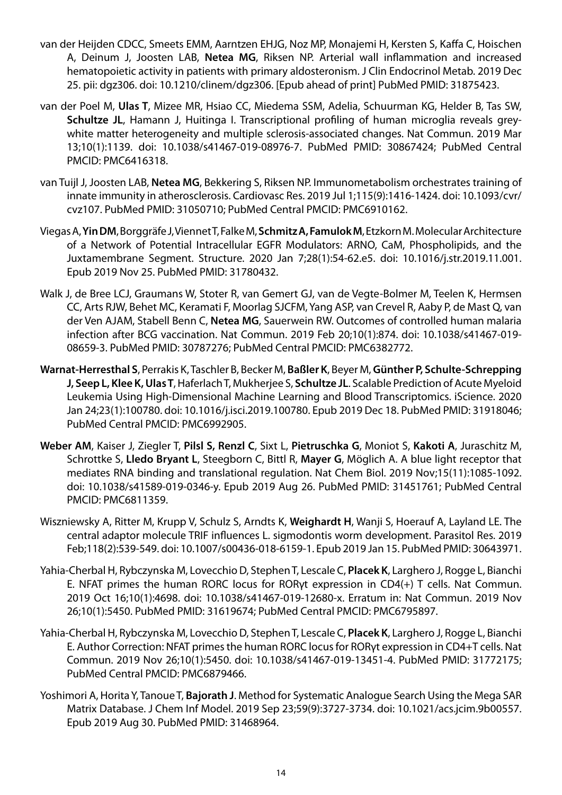- van der Heijden CDCC, Smeets EMM, Aarntzen EHJG, Noz MP, Monajemi H, Kersten S, Kaffa C, Hoischen A, Deinum J, Joosten LAB, **Netea MG**, Riksen NP. Arterial wall inflammation and increased hematopoietic activity in patients with primary aldosteronism. J Clin Endocrinol Metab. 2019 Dec 25. pii: dgz306. doi: 10.1210/clinem/dgz306. [Epub ahead of print] PubMed PMID: 31875423.
- van der Poel M, **Ulas T**, Mizee MR, Hsiao CC, Miedema SSM, Adelia, Schuurman KG, Helder B, Tas SW, **Schultze JL**, Hamann J, Huitinga I. Transcriptional profiling of human microglia reveals greywhite matter heterogeneity and multiple sclerosis-associated changes. Nat Commun. 2019 Mar 13;10(1):1139. doi: 10.1038/s41467-019-08976-7. PubMed PMID: 30867424; PubMed Central PMCID: PMC6416318.
- van Tuijl J, Joosten LAB, **Netea MG**, Bekkering S, Riksen NP. Immunometabolism orchestrates training of innate immunity in atherosclerosis. Cardiovasc Res. 2019 Jul 1;115(9):1416-1424. doi: 10.1093/cvr/ cvz107. PubMed PMID: 31050710; PubMed Central PMCID: PMC6910162.
- Viegas A, **Yin DM**, Borggräfe J, Viennet T, Falke M, **Schmitz A, Famulok M**, Etzkorn M. Molecular Architecture of a Network of Potential Intracellular EGFR Modulators: ARNO, CaM, Phospholipids, and the Juxtamembrane Segment. Structure. 2020 Jan 7;28(1):54-62.e5. doi: 10.1016/j.str.2019.11.001. Epub 2019 Nov 25. PubMed PMID: 31780432.
- Walk J, de Bree LCJ, Graumans W, Stoter R, van Gemert GJ, van de Vegte-Bolmer M, Teelen K, Hermsen CC, Arts RJW, Behet MC, Keramati F, Moorlag SJCFM, Yang ASP, van Crevel R, Aaby P, de Mast Q, van der Ven AJAM, Stabell Benn C, **Netea MG**, Sauerwein RW. Outcomes of controlled human malaria infection after BCG vaccination. Nat Commun. 2019 Feb 20;10(1):874. doi: 10.1038/s41467-019- 08659-3. PubMed PMID: 30787276; PubMed Central PMCID: PMC6382772.
- **Warnat-Herresthal S**, Perrakis K, Taschler B, Becker M, **Baßler K**, Beyer M, **Günther P, Schulte-Schrepping J, Seep L, Klee K, Ulas T**, Haferlach T, Mukherjee S, **Schultze JL**. Scalable Prediction of Acute Myeloid Leukemia Using High-Dimensional Machine Learning and Blood Transcriptomics. iScience. 2020 Jan 24;23(1):100780. doi: 10.1016/j.isci.2019.100780. Epub 2019 Dec 18. PubMed PMID: 31918046; PubMed Central PMCID: PMC6992905.
- **Weber AM**, Kaiser J, Ziegler T, **Pilsl S, Renzl C**, Sixt L, **Pietruschka G**, Moniot S, **Kakoti A**, Juraschitz M, Schrottke S, **Lledo Bryant L**, Steegborn C, Bittl R, **Mayer G**, Möglich A. A blue light receptor that mediates RNA binding and translational regulation. Nat Chem Biol. 2019 Nov;15(11):1085-1092. doi: 10.1038/s41589-019-0346-y. Epub 2019 Aug 26. PubMed PMID: 31451761; PubMed Central PMCID: PMC6811359.
- Wiszniewsky A, Ritter M, Krupp V, Schulz S, Arndts K, **Weighardt H**, Wanji S, Hoerauf A, Layland LE. The central adaptor molecule TRIF influences L. sigmodontis worm development. Parasitol Res. 2019 Feb;118(2):539-549. doi: 10.1007/s00436-018-6159-1. Epub 2019 Jan 15. PubMed PMID: 30643971.
- Yahia-Cherbal H, Rybczynska M, Lovecchio D, Stephen T, Lescale C, **Placek K**, Larghero J, Rogge L, Bianchi E. NFAT primes the human RORC locus for RORγt expression in CD4(+) T cells. Nat Commun. 2019 Oct 16;10(1):4698. doi: 10.1038/s41467-019-12680-x. Erratum in: Nat Commun. 2019 Nov 26;10(1):5450. PubMed PMID: 31619674; PubMed Central PMCID: PMC6795897.
- Yahia-Cherbal H, Rybczynska M, Lovecchio D, Stephen T, Lescale C, **Placek K**, Larghero J, Rogge L, Bianchi E. Author Correction: NFAT primes the human RORC locus for RORγt expression in CD4+T cells. Nat Commun. 2019 Nov 26;10(1):5450. doi: 10.1038/s41467-019-13451-4. PubMed PMID: 31772175; PubMed Central PMCID: PMC6879466.
- Yoshimori A, Horita Y, Tanoue T, **Bajorath J**. Method for Systematic Analogue Search Using the Mega SAR Matrix Database. J Chem Inf Model. 2019 Sep 23;59(9):3727-3734. doi: 10.1021/acs.jcim.9b00557. Epub 2019 Aug 30. PubMed PMID: 31468964.